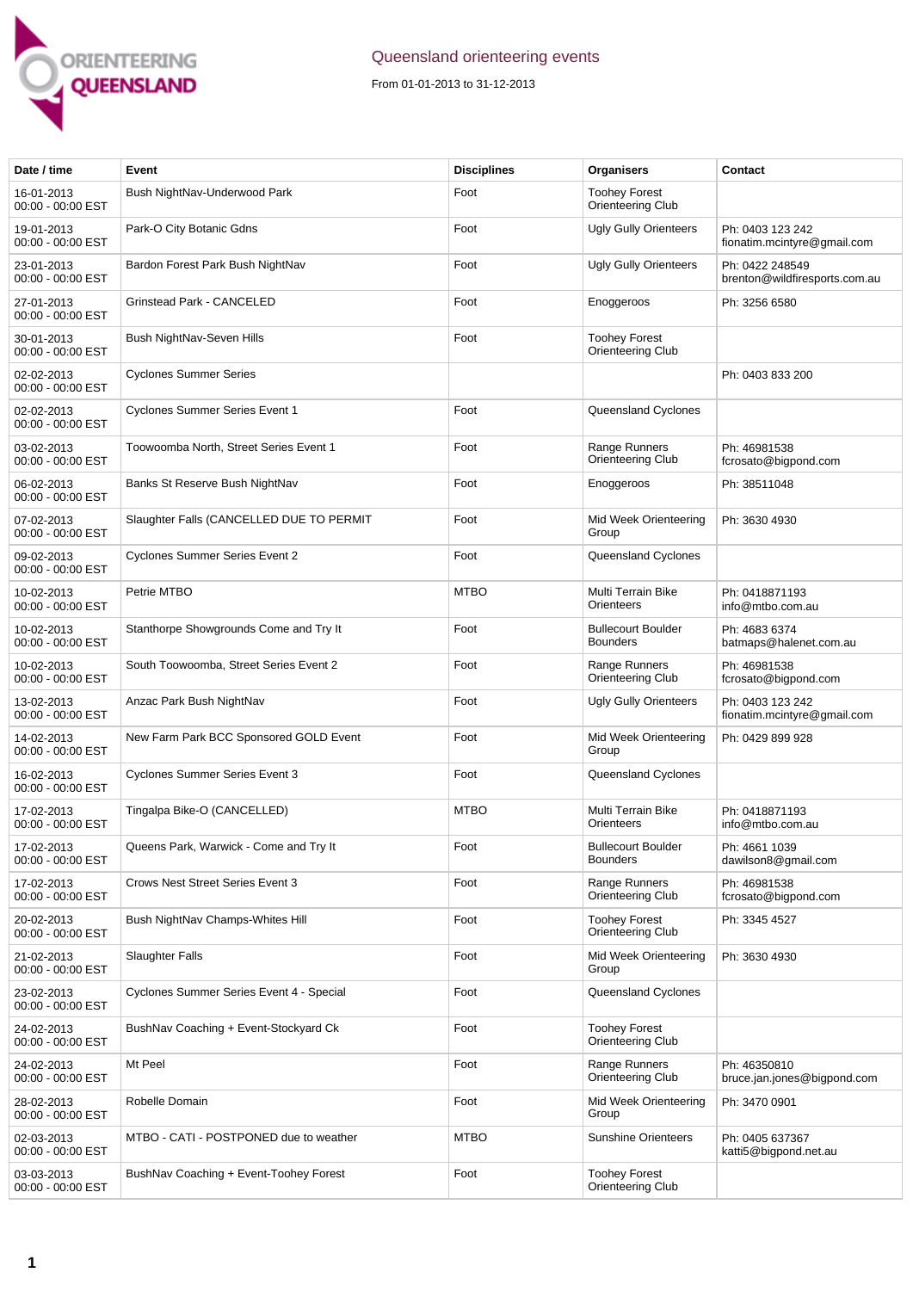

## Queensland orienteering events

From 01-01-2013 to 31-12-2013

| Date / time                     | Event                                    | <b>Disciplines</b> | Organisers                                   | Contact                                          |
|---------------------------------|------------------------------------------|--------------------|----------------------------------------------|--------------------------------------------------|
| 16-01-2013<br>00:00 - 00:00 EST | Bush NightNav-Underwood Park             | Foot               | <b>Toohey Forest</b><br>Orienteering Club    |                                                  |
| 19-01-2013<br>00:00 - 00:00 EST | Park-O City Botanic Gdns                 | Foot               | <b>Ugly Gully Orienteers</b>                 | Ph: 0403 123 242<br>fionatim.mcintyre@gmail.com  |
| 23-01-2013<br>00:00 - 00:00 EST | Bardon Forest Park Bush NightNav         | Foot               | <b>Ugly Gully Orienteers</b>                 | Ph: 0422 248549<br>brenton@wildfiresports.com.au |
| 27-01-2013<br>00:00 - 00:00 EST | Grinstead Park - CANCELED                | Foot               | Enoggeroos                                   | Ph: 3256 6580                                    |
| 30-01-2013<br>00:00 - 00:00 EST | Bush NightNav-Seven Hills                | Foot               | <b>Toohey Forest</b><br>Orienteering Club    |                                                  |
| 02-02-2013<br>00:00 - 00:00 EST | <b>Cyclones Summer Series</b>            |                    |                                              | Ph: 0403 833 200                                 |
| 02-02-2013<br>00:00 - 00:00 EST | Cyclones Summer Series Event 1           | Foot               | Queensland Cyclones                          |                                                  |
| 03-02-2013<br>00:00 - 00:00 EST | Toowoomba North, Street Series Event 1   | Foot               | Range Runners<br>Orienteering Club           | Ph: 46981538<br>fcrosato@bigpond.com             |
| 06-02-2013<br>00:00 - 00:00 EST | Banks St Reserve Bush NightNav           | Foot               | Enoggeroos                                   | Ph: 38511048                                     |
| 07-02-2013<br>00:00 - 00:00 EST | Slaughter Falls (CANCELLED DUE TO PERMIT | Foot               | Mid Week Orienteering<br>Group               | Ph: 3630 4930                                    |
| 09-02-2013<br>00:00 - 00:00 EST | <b>Cyclones Summer Series Event 2</b>    | Foot               | Queensland Cyclones                          |                                                  |
| 10-02-2013<br>00:00 - 00:00 EST | Petrie MTBO                              | <b>MTBO</b>        | Multi Terrain Bike<br>Orienteers             | Ph: 0418871193<br>info@mtbo.com.au               |
| 10-02-2013<br>00:00 - 00:00 EST | Stanthorpe Showgrounds Come and Try It   | Foot               | <b>Bullecourt Boulder</b><br><b>Bounders</b> | Ph: 4683 6374<br>batmaps@halenet.com.au          |
| 10-02-2013<br>00:00 - 00:00 EST | South Toowoomba, Street Series Event 2   | Foot               | Range Runners<br>Orienteering Club           | Ph: 46981538<br>fcrosato@bigpond.com             |
| 13-02-2013<br>00:00 - 00:00 EST | Anzac Park Bush NightNav                 | Foot               | Ugly Gully Orienteers                        | Ph: 0403 123 242<br>fionatim.mcintyre@gmail.com  |
| 14-02-2013<br>00:00 - 00:00 EST | New Farm Park BCC Sponsored GOLD Event   | Foot               | Mid Week Orienteering<br>Group               | Ph: 0429 899 928                                 |
| 16-02-2013<br>00:00 - 00:00 EST | <b>Cyclones Summer Series Event 3</b>    | Foot               | Queensland Cyclones                          |                                                  |
| 17-02-2013<br>00:00 - 00:00 EST | Tingalpa Bike-O (CANCELLED)              | <b>MTBO</b>        | Multi Terrain Bike<br>Orienteers             | Ph: 0418871193<br>info@mtbo.com.au               |
| 17-02-2013<br>00:00 - 00:00 EST | Queens Park, Warwick - Come and Try It   | Foot               | <b>Bullecourt Boulder</b><br><b>Bounders</b> | Ph: 4661 1039<br>dawilson8@gmail.com             |
| 17-02-2013<br>00:00 - 00:00 EST | <b>Crows Nest Street Series Event 3</b>  | Foot               | Range Runners<br>Orienteering Club           | Ph: 46981538<br>fcrosato@bigpond.com             |
| 20-02-2013<br>00:00 - 00:00 EST | Bush NightNav Champs-Whites Hill         | Foot               | <b>Toohey Forest</b><br>Orienteering Club    | Ph: 3345 4527                                    |
| 21-02-2013<br>00:00 - 00:00 EST | <b>Slaughter Falls</b>                   | Foot               | Mid Week Orienteering<br>Group               | Ph: 3630 4930                                    |
| 23-02-2013<br>00:00 - 00:00 EST | Cyclones Summer Series Event 4 - Special | Foot               | Queensland Cyclones                          |                                                  |
| 24-02-2013<br>00:00 - 00:00 EST | BushNav Coaching + Event-Stockyard Ck    | Foot               | <b>Toohey Forest</b><br>Orienteering Club    |                                                  |
| 24-02-2013<br>00:00 - 00:00 EST | Mt Peel                                  | Foot               | Range Runners<br>Orienteering Club           | Ph: 46350810<br>bruce.jan.jones@bigpond.com      |
| 28-02-2013<br>00:00 - 00:00 EST | Robelle Domain                           | Foot               | Mid Week Orienteering<br>Group               | Ph: 3470 0901                                    |
| 02-03-2013<br>00:00 - 00:00 EST | MTBO - CATI - POSTPONED due to weather   | <b>MTBO</b>        | <b>Sunshine Orienteers</b>                   | Ph: 0405 637367<br>katti5@bigpond.net.au         |
| 03-03-2013<br>00:00 - 00:00 EST | BushNav Coaching + Event-Toohey Forest   | Foot               | <b>Toohey Forest</b><br>Orienteering Club    |                                                  |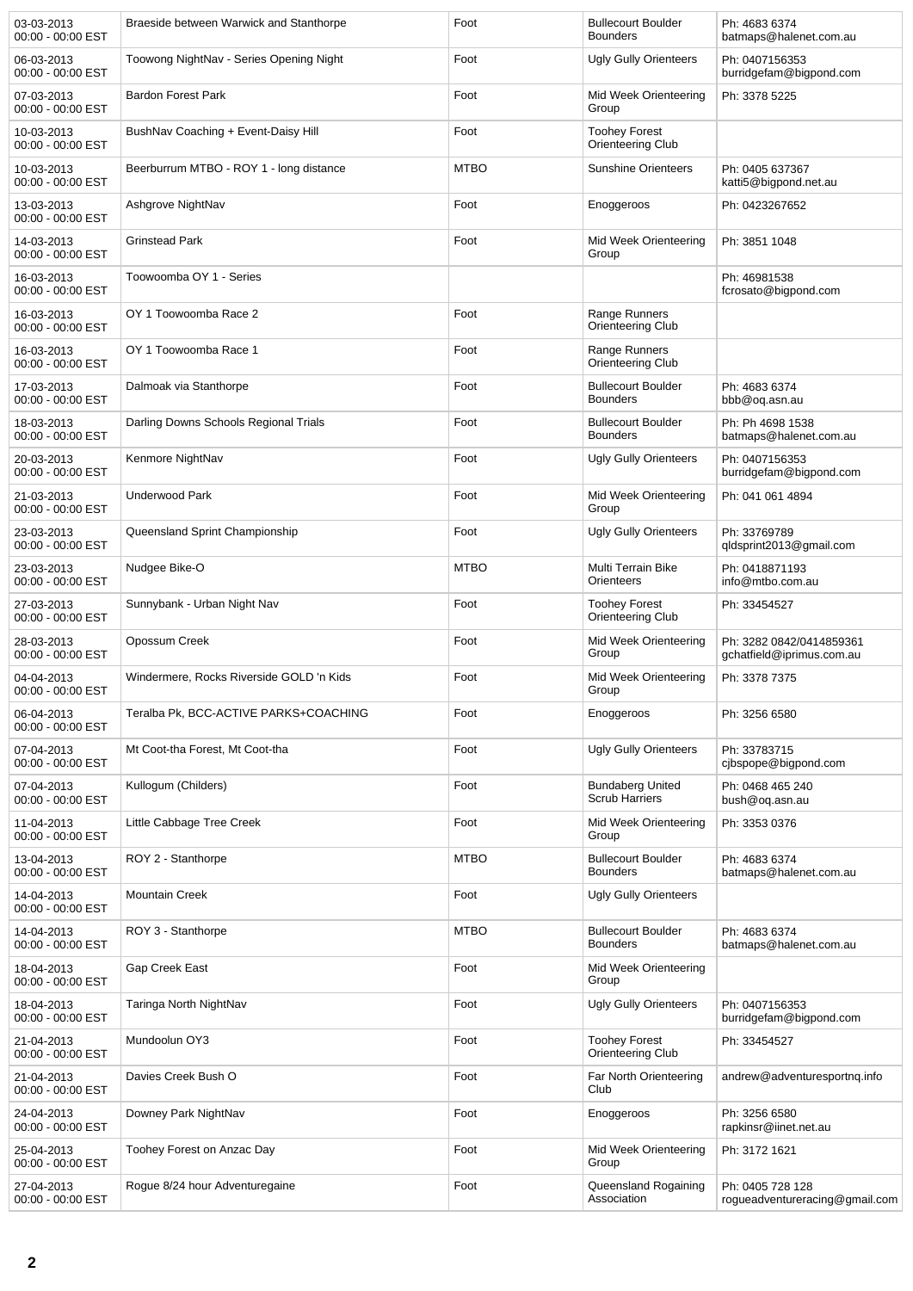| 03-03-2013<br>00:00 - 00:00 EST | Braeside between Warwick and Stanthorpe  | Foot        | <b>Bullecourt Boulder</b><br><b>Bounders</b>     | Ph: 4683 6374<br>batmaps@halenet.com.au               |
|---------------------------------|------------------------------------------|-------------|--------------------------------------------------|-------------------------------------------------------|
| 06-03-2013<br>00:00 - 00:00 EST | Toowong NightNav - Series Opening Night  | Foot        | <b>Ugly Gully Orienteers</b>                     | Ph: 0407156353<br>burridgefam@bigpond.com             |
| 07-03-2013<br>00:00 - 00:00 EST | <b>Bardon Forest Park</b>                | Foot        | Mid Week Orienteering<br>Group                   | Ph: 3378 5225                                         |
| 10-03-2013<br>00:00 - 00:00 EST | BushNav Coaching + Event-Daisy Hill      | Foot        | <b>Toohey Forest</b><br>Orienteering Club        |                                                       |
| 10-03-2013<br>00:00 - 00:00 EST | Beerburrum MTBO - ROY 1 - long distance  | <b>MTBO</b> | <b>Sunshine Orienteers</b>                       | Ph: 0405 637367<br>katti5@bigpond.net.au              |
| 13-03-2013<br>00:00 - 00:00 EST | Ashgrove NightNav                        | Foot        | Enoggeroos                                       | Ph: 0423267652                                        |
| 14-03-2013<br>00:00 - 00:00 EST | <b>Grinstead Park</b>                    | Foot        | Mid Week Orienteering<br>Group                   | Ph: 3851 1048                                         |
| 16-03-2013<br>00:00 - 00:00 EST | Toowoomba OY 1 - Series                  |             |                                                  | Ph: 46981538<br>fcrosato@bigpond.com                  |
| 16-03-2013<br>00:00 - 00:00 EST | OY 1 Toowoomba Race 2                    | Foot        | Range Runners<br>Orienteering Club               |                                                       |
| 16-03-2013<br>00:00 - 00:00 EST | OY 1 Toowoomba Race 1                    | Foot        | Range Runners<br>Orienteering Club               |                                                       |
| 17-03-2013<br>00:00 - 00:00 EST | Dalmoak via Stanthorpe                   | Foot        | <b>Bullecourt Boulder</b><br><b>Bounders</b>     | Ph: 4683 6374<br>bbb@oq.asn.au                        |
| 18-03-2013<br>00:00 - 00:00 EST | Darling Downs Schools Regional Trials    | Foot        | <b>Bullecourt Boulder</b><br><b>Bounders</b>     | Ph: Ph 4698 1538<br>batmaps@halenet.com.au            |
| 20-03-2013<br>00:00 - 00:00 EST | Kenmore NightNav                         | Foot        | <b>Ugly Gully Orienteers</b>                     | Ph: 0407156353<br>burridgefam@bigpond.com             |
| 21-03-2013<br>00:00 - 00:00 EST | <b>Underwood Park</b>                    | Foot        | Mid Week Orienteering<br>Group                   | Ph: 041 061 4894                                      |
| 23-03-2013<br>00:00 - 00:00 EST | Queensland Sprint Championship           | Foot        | <b>Ugly Gully Orienteers</b>                     | Ph: 33769789<br>qldsprint2013@gmail.com               |
| 23-03-2013<br>00:00 - 00:00 EST | Nudgee Bike-O                            | <b>MTBO</b> | Multi Terrain Bike<br>Orienteers                 | Ph: 0418871193<br>info@mtbo.com.au                    |
| 27-03-2013<br>00:00 - 00:00 EST | Sunnybank - Urban Night Nav              | Foot        | <b>Toohey Forest</b><br>Orienteering Club        | Ph: 33454527                                          |
| 28-03-2013<br>00:00 - 00:00 EST | Opossum Creek                            | Foot        | Mid Week Orienteering<br>Group                   | Ph: 3282 0842/0414859361<br>gchatfield@iprimus.com.au |
| 04-04-2013<br>00:00 - 00:00 EST | Windermere, Rocks Riverside GOLD 'n Kids | Foot        | Mid Week Orienteering<br>Group                   | Ph: 3378 7375                                         |
| 06-04-2013<br>00:00 - 00:00 EST | Teralba Pk, BCC-ACTIVE PARKS+COACHING    | Foot        | Enoggeroos                                       | Ph: 3256 6580                                         |
| 07-04-2013<br>00:00 - 00:00 EST | Mt Coot-tha Forest, Mt Coot-tha          | Foot        | <b>Ugly Gully Orienteers</b>                     | Ph: 33783715<br>cjbspope@bigpond.com                  |
| 07-04-2013<br>00:00 - 00:00 EST | Kullogum (Childers)                      | Foot        | <b>Bundaberg United</b><br><b>Scrub Harriers</b> | Ph: 0468 465 240<br>bush@oq.asn.au                    |
| 11-04-2013<br>00:00 - 00:00 EST | Little Cabbage Tree Creek                | Foot        | Mid Week Orienteering<br>Group                   | Ph: 3353 0376                                         |
| 13-04-2013<br>00:00 - 00:00 EST | ROY 2 - Stanthorpe                       | <b>MTBO</b> | <b>Bullecourt Boulder</b><br><b>Bounders</b>     | Ph: 4683 6374<br>batmaps@halenet.com.au               |
| 14-04-2013<br>00:00 - 00:00 EST | <b>Mountain Creek</b>                    | Foot        | <b>Ugly Gully Orienteers</b>                     |                                                       |
| 14-04-2013<br>00:00 - 00:00 EST | ROY 3 - Stanthorpe                       | <b>MTBO</b> | <b>Bullecourt Boulder</b><br><b>Bounders</b>     | Ph: 4683 6374<br>batmaps@halenet.com.au               |
| 18-04-2013<br>00:00 - 00:00 EST | Gap Creek East                           | Foot        | Mid Week Orienteering<br>Group                   |                                                       |
| 18-04-2013<br>00:00 - 00:00 EST | Taringa North NightNav                   | Foot        | <b>Ugly Gully Orienteers</b>                     | Ph: 0407156353<br>burridgefam@bigpond.com             |
| 21-04-2013<br>00:00 - 00:00 EST | Mundoolun OY3                            | Foot        | <b>Toohey Forest</b><br>Orienteering Club        | Ph: 33454527                                          |
| 21-04-2013<br>00:00 - 00:00 EST | Davies Creek Bush O                      | Foot        | Far North Orienteering<br>Club                   | andrew@adventuresportnq.info                          |
| 24-04-2013<br>00:00 - 00:00 EST | Downey Park NightNav                     | Foot        | Enoggeroos                                       | Ph: 3256 6580<br>rapkinsr@iinet.net.au                |
| 25-04-2013<br>00:00 - 00:00 EST | Toohey Forest on Anzac Day               | Foot        | Mid Week Orienteering<br>Group                   | Ph: 3172 1621                                         |
| 27-04-2013<br>00:00 - 00:00 EST | Rogue 8/24 hour Adventuregaine           | Foot        | Queensland Rogaining<br>Association              | Ph: 0405 728 128<br>rogueadventureracing@gmail.com    |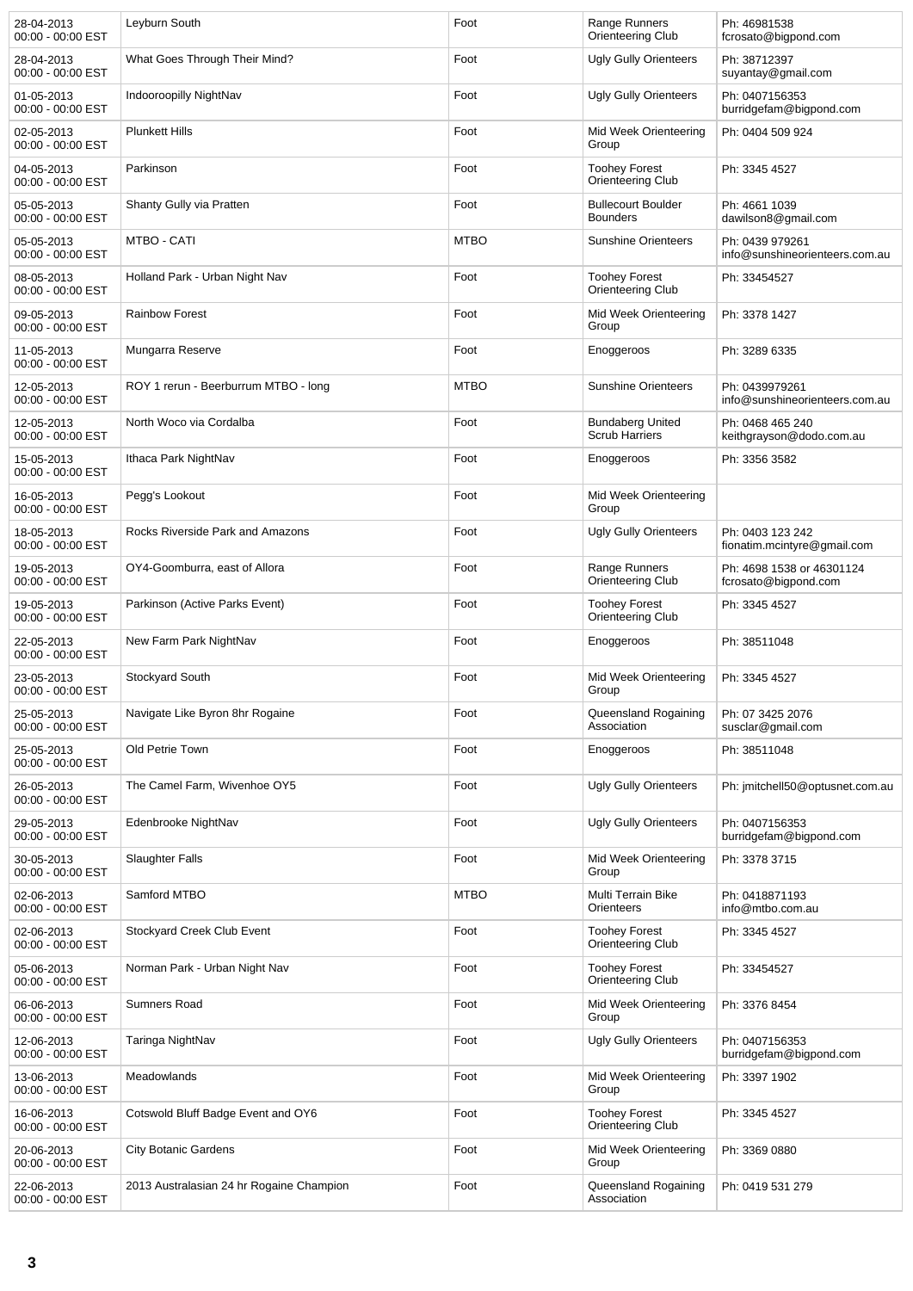| 28-04-2013<br>00:00 - 00:00 EST | Leyburn South                            | Foot        | Range Runners<br>Orienteering Club               | Ph: 46981538<br>fcrosato@bigpond.com              |
|---------------------------------|------------------------------------------|-------------|--------------------------------------------------|---------------------------------------------------|
| 28-04-2013<br>00:00 - 00:00 EST | What Goes Through Their Mind?            | Foot        | Ugly Gully Orienteers                            | Ph: 38712397<br>suyantay@gmail.com                |
| 01-05-2013<br>00:00 - 00:00 EST | Indooroopilly NightNav                   | Foot        | Ugly Gully Orienteers                            | Ph: 0407156353<br>burridgefam@bigpond.com         |
| 02-05-2013<br>00:00 - 00:00 EST | <b>Plunkett Hills</b>                    | Foot        | Mid Week Orienteering<br>Group                   | Ph: 0404 509 924                                  |
| 04-05-2013<br>00:00 - 00:00 EST | Parkinson                                | Foot        | <b>Toohey Forest</b><br>Orienteering Club        | Ph: 3345 4527                                     |
| 05-05-2013<br>00:00 - 00:00 EST | Shanty Gully via Pratten                 | Foot        | <b>Bullecourt Boulder</b><br><b>Bounders</b>     | Ph: 4661 1039<br>dawilson8@gmail.com              |
| 05-05-2013<br>00:00 - 00:00 EST | MTBO - CATI                              | <b>MTBO</b> | <b>Sunshine Orienteers</b>                       | Ph: 0439 979261<br>info@sunshineorienteers.com.au |
| 08-05-2013<br>00:00 - 00:00 EST | Holland Park - Urban Night Nav           | Foot        | <b>Toohey Forest</b><br>Orienteering Club        | Ph: 33454527                                      |
| 09-05-2013<br>00:00 - 00:00 EST | <b>Rainbow Forest</b>                    | Foot        | Mid Week Orienteering<br>Group                   | Ph: 3378 1427                                     |
| 11-05-2013<br>00:00 - 00:00 EST | Mungarra Reserve                         | Foot        | Enoggeroos                                       | Ph: 3289 6335                                     |
| 12-05-2013<br>00:00 - 00:00 EST | ROY 1 rerun - Beerburrum MTBO - long     | <b>MTBO</b> | <b>Sunshine Orienteers</b>                       | Ph: 0439979261<br>info@sunshineorienteers.com.au  |
| 12-05-2013<br>00:00 - 00:00 EST | North Woco via Cordalba                  | Foot        | <b>Bundaberg United</b><br><b>Scrub Harriers</b> | Ph: 0468 465 240<br>keithgrayson@dodo.com.au      |
| 15-05-2013<br>00:00 - 00:00 EST | Ithaca Park NightNav                     | Foot        | Enoggeroos                                       | Ph: 3356 3582                                     |
| 16-05-2013<br>00:00 - 00:00 EST | Pegg's Lookout                           | Foot        | Mid Week Orienteering<br>Group                   |                                                   |
| 18-05-2013<br>00:00 - 00:00 EST | Rocks Riverside Park and Amazons         | Foot        | Ugly Gully Orienteers                            | Ph: 0403 123 242<br>fionatim.mcintyre@gmail.com   |
| 19-05-2013<br>00:00 - 00:00 EST | OY4-Goomburra, east of Allora            | Foot        | Range Runners<br>Orienteering Club               | Ph: 4698 1538 or 46301124<br>fcrosato@bigpond.com |
| 19-05-2013<br>00:00 - 00:00 EST | Parkinson (Active Parks Event)           | Foot        | <b>Toohey Forest</b><br>Orienteering Club        | Ph: 3345 4527                                     |
| 22-05-2013<br>00:00 - 00:00 EST | New Farm Park NightNav                   | Foot        | Enoggeroos                                       | Ph: 38511048                                      |
| 23-05-2013<br>00:00 - 00:00 EST | Stockyard South                          | Foot        | Mid Week Orienteering<br>Group                   | Ph: 3345 4527                                     |
| 25-05-2013<br>00:00 - 00:00 EST | Navigate Like Byron 8hr Rogaine          | Foot        | Queensland Rogaining<br>Association              | Ph: 07 3425 2076<br>susclar@gmail.com             |
| 25-05-2013<br>00:00 - 00:00 EST | Old Petrie Town                          | Foot        | Enoggeroos                                       | Ph: 38511048                                      |
| 26-05-2013<br>00:00 - 00:00 EST | The Camel Farm, Wivenhoe OY5             | Foot        | <b>Ugly Gully Orienteers</b>                     | Ph: jmitchell50@optusnet.com.au                   |
| 29-05-2013<br>00:00 - 00:00 EST | Edenbrooke NightNav                      | Foot        | Ugly Gully Orienteers                            | Ph: 0407156353<br>burridgefam@bigpond.com         |
| 30-05-2013<br>00:00 - 00:00 EST | <b>Slaughter Falls</b>                   | Foot        | Mid Week Orienteering<br>Group                   | Ph: 3378 3715                                     |
| 02-06-2013<br>00:00 - 00:00 EST | Samford MTBO                             | <b>MTBO</b> | Multi Terrain Bike<br>Orienteers                 | Ph: 0418871193<br>info@mtbo.com.au                |
| 02-06-2013<br>00:00 - 00:00 EST | Stockyard Creek Club Event               | Foot        | <b>Toohey Forest</b><br>Orienteering Club        | Ph: 3345 4527                                     |
| 05-06-2013<br>00:00 - 00:00 EST | Norman Park - Urban Night Nav            | Foot        | <b>Toohey Forest</b><br>Orienteering Club        | Ph: 33454527                                      |
| 06-06-2013<br>00:00 - 00:00 EST | <b>Sumners Road</b>                      | Foot        | Mid Week Orienteering<br>Group                   | Ph: 3376 8454                                     |
| 12-06-2013<br>00:00 - 00:00 EST | Taringa NightNav                         | Foot        | <b>Ugly Gully Orienteers</b>                     | Ph: 0407156353<br>burridgefam@bigpond.com         |
| 13-06-2013<br>00:00 - 00:00 EST | Meadowlands                              | Foot        | Mid Week Orienteering<br>Group                   | Ph: 3397 1902                                     |
| 16-06-2013<br>00:00 - 00:00 EST | Cotswold Bluff Badge Event and OY6       | Foot        | <b>Toohey Forest</b><br>Orienteering Club        | Ph: 3345 4527                                     |
| 20-06-2013<br>00:00 - 00:00 EST | <b>City Botanic Gardens</b>              | Foot        | Mid Week Orienteering<br>Group                   | Ph: 3369 0880                                     |
| 22-06-2013<br>00:00 - 00:00 EST | 2013 Australasian 24 hr Rogaine Champion | Foot        | Queensland Rogaining<br>Association              | Ph: 0419 531 279                                  |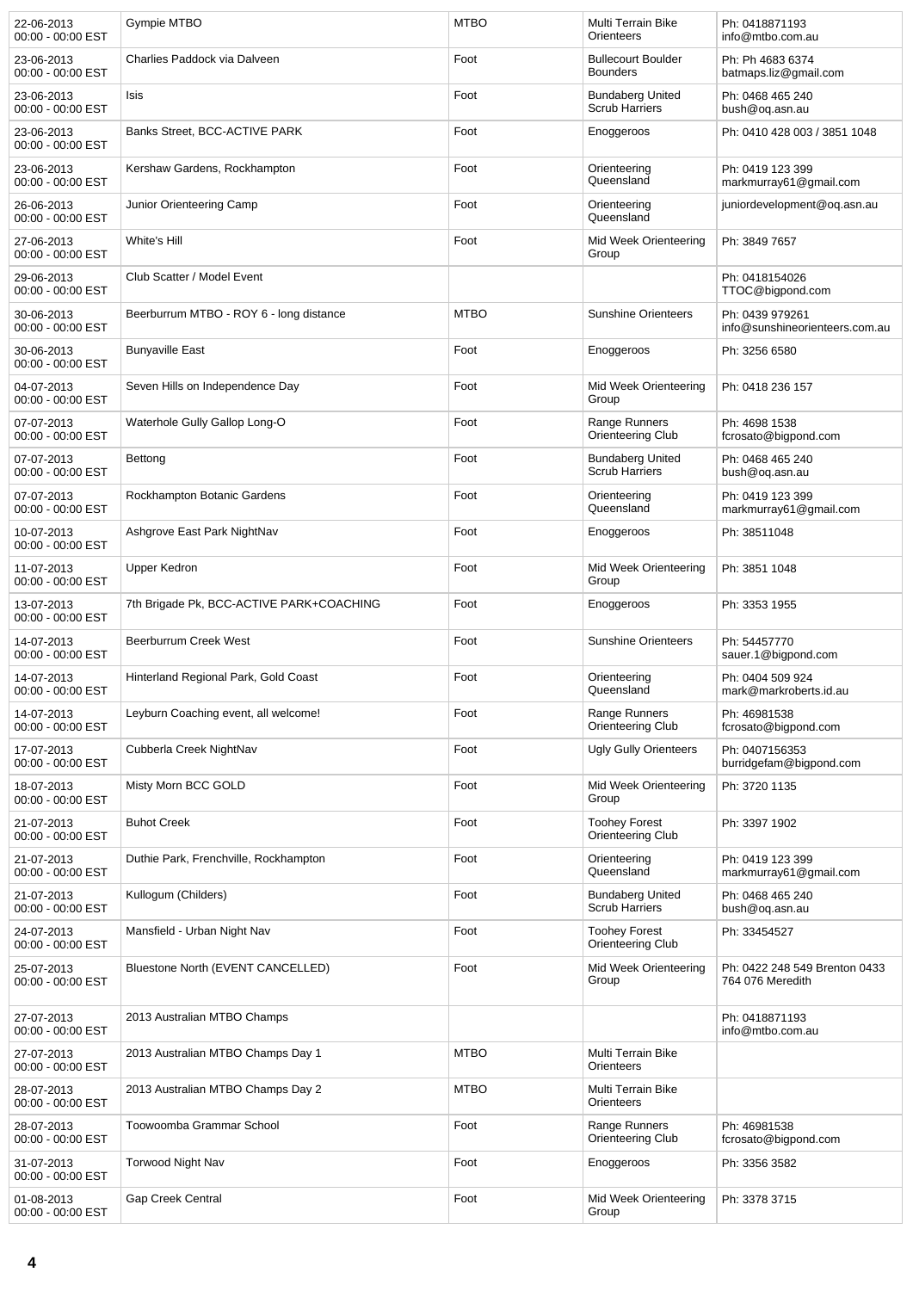| 22-06-2013<br>00:00 - 00:00 EST | <b>Gympie MTBO</b>                       | <b>MTBO</b> | Multi Terrain Bike<br><b>Orienteers</b>          | Ph: 0418871193<br>info@mtbo.com.au                |
|---------------------------------|------------------------------------------|-------------|--------------------------------------------------|---------------------------------------------------|
| 23-06-2013<br>00:00 - 00:00 EST | Charlies Paddock via Dalveen             | Foot        | <b>Bullecourt Boulder</b><br><b>Bounders</b>     | Ph: Ph 4683 6374<br>batmaps.liz@gmail.com         |
| 23-06-2013<br>00:00 - 00:00 EST | Isis                                     | Foot        | <b>Bundaberg United</b><br><b>Scrub Harriers</b> | Ph: 0468 465 240<br>bush@og.asn.au                |
| 23-06-2013<br>00:00 - 00:00 EST | Banks Street, BCC-ACTIVE PARK            | Foot        | Enoggeroos                                       | Ph: 0410 428 003 / 3851 1048                      |
| 23-06-2013<br>00:00 - 00:00 EST | Kershaw Gardens, Rockhampton             | Foot        | Orienteering<br>Queensland                       | Ph: 0419 123 399<br>markmurray61@gmail.com        |
| 26-06-2013<br>00:00 - 00:00 EST | Junior Orienteering Camp                 | Foot        | Orienteering<br>Queensland                       | juniordevelopment@og.asn.au                       |
| 27-06-2013<br>00:00 - 00:00 EST | White's Hill                             | Foot        | Mid Week Orienteering<br>Group                   | Ph: 3849 7657                                     |
| 29-06-2013<br>00:00 - 00:00 EST | Club Scatter / Model Event               |             |                                                  | Ph: 0418154026<br>TTOC@bigpond.com                |
| 30-06-2013<br>00:00 - 00:00 EST | Beerburrum MTBO - ROY 6 - long distance  | <b>MTBO</b> | <b>Sunshine Orienteers</b>                       | Ph: 0439 979261<br>info@sunshineorienteers.com.au |
| 30-06-2013<br>00:00 - 00:00 EST | <b>Bunyaville East</b>                   | Foot        | Enoggeroos                                       | Ph: 3256 6580                                     |
| 04-07-2013<br>00:00 - 00:00 EST | Seven Hills on Independence Day          | Foot        | Mid Week Orienteering<br>Group                   | Ph: 0418 236 157                                  |
| 07-07-2013<br>00:00 - 00:00 EST | Waterhole Gully Gallop Long-O            | Foot        | Range Runners<br>Orienteering Club               | Ph: 4698 1538<br>fcrosato@bigpond.com             |
| 07-07-2013<br>00:00 - 00:00 EST | Bettong                                  | Foot        | <b>Bundaberg United</b><br><b>Scrub Harriers</b> | Ph: 0468 465 240<br>bush@oq.asn.au                |
| 07-07-2013<br>00:00 - 00:00 EST | Rockhampton Botanic Gardens              | Foot        | Orienteering<br>Queensland                       | Ph: 0419 123 399<br>markmurray61@gmail.com        |
| 10-07-2013<br>00:00 - 00:00 EST | Ashgrove East Park NightNav              | Foot        | Enoggeroos                                       | Ph: 38511048                                      |
| 11-07-2013<br>00:00 - 00:00 EST | Upper Kedron                             | Foot        | Mid Week Orienteering<br>Group                   | Ph: 3851 1048                                     |
| 13-07-2013<br>00:00 - 00:00 EST | 7th Brigade Pk, BCC-ACTIVE PARK+COACHING | Foot        | Enoggeroos                                       | Ph: 3353 1955                                     |
| 14-07-2013<br>00:00 - 00:00 EST | Beerburrum Creek West                    | Foot        | <b>Sunshine Orienteers</b>                       | Ph: 54457770<br>sauer.1@bigpond.com               |
| 14-07-2013<br>00:00 - 00:00 EST | Hinterland Regional Park, Gold Coast     | Foot        | Orienteering<br>Queensland                       | Ph: 0404 509 924<br>mark@markroberts.id.au        |
| 14-07-2013<br>00:00 - 00:00 EST | Leyburn Coaching event, all welcome!     | Foot        | Range Runners<br>Orienteering Club               | Ph: 46981538<br>fcrosato@bigpond.com              |
| 17-07-2013<br>00:00 - 00:00 EST | Cubberla Creek NightNav                  | Foot        | <b>Ugly Gully Orienteers</b>                     | Ph: 0407156353<br>burridgefam@bigpond.com         |
| 18-07-2013<br>00:00 - 00:00 EST | Misty Morn BCC GOLD                      | Foot        | Mid Week Orienteering<br>Group                   | Ph: 3720 1135                                     |
| 21-07-2013<br>00:00 - 00:00 EST | <b>Buhot Creek</b>                       | Foot        | <b>Toohey Forest</b><br>Orienteering Club        | Ph: 3397 1902                                     |
| 21-07-2013<br>00:00 - 00:00 EST | Duthie Park, Frenchville, Rockhampton    | Foot        | Orienteering<br>Queensland                       | Ph: 0419 123 399<br>markmurray61@gmail.com        |
| 21-07-2013<br>00:00 - 00:00 EST | Kullogum (Childers)                      | Foot        | <b>Bundaberg United</b><br><b>Scrub Harriers</b> | Ph: 0468 465 240<br>bush@oq.asn.au                |
| 24-07-2013<br>00:00 - 00:00 EST | Mansfield - Urban Night Nav              | Foot        | <b>Toohey Forest</b><br>Orienteering Club        | Ph: 33454527                                      |
| 25-07-2013<br>00:00 - 00:00 EST | Bluestone North (EVENT CANCELLED)        | Foot        | Mid Week Orienteering<br>Group                   | Ph: 0422 248 549 Brenton 0433<br>764 076 Meredith |
| 27-07-2013<br>00:00 - 00:00 EST | 2013 Australian MTBO Champs              |             |                                                  | Ph: 0418871193<br>info@mtbo.com.au                |
| 27-07-2013<br>00:00 - 00:00 EST | 2013 Australian MTBO Champs Day 1        | <b>MTBO</b> | Multi Terrain Bike<br>Orienteers                 |                                                   |
| 28-07-2013<br>00:00 - 00:00 EST | 2013 Australian MTBO Champs Day 2        | <b>MTBO</b> | Multi Terrain Bike<br>Orienteers                 |                                                   |
| 28-07-2013<br>00:00 - 00:00 EST | Toowoomba Grammar School                 | Foot        | Range Runners<br>Orienteering Club               | Ph: 46981538<br>fcrosato@bigpond.com              |
| 31-07-2013<br>00:00 - 00:00 EST | <b>Torwood Night Nav</b>                 | Foot        | Enoggeroos                                       | Ph: 3356 3582                                     |
| 01-08-2013<br>00:00 - 00:00 EST | Gap Creek Central                        | Foot        | Mid Week Orienteering<br>Group                   | Ph: 3378 3715                                     |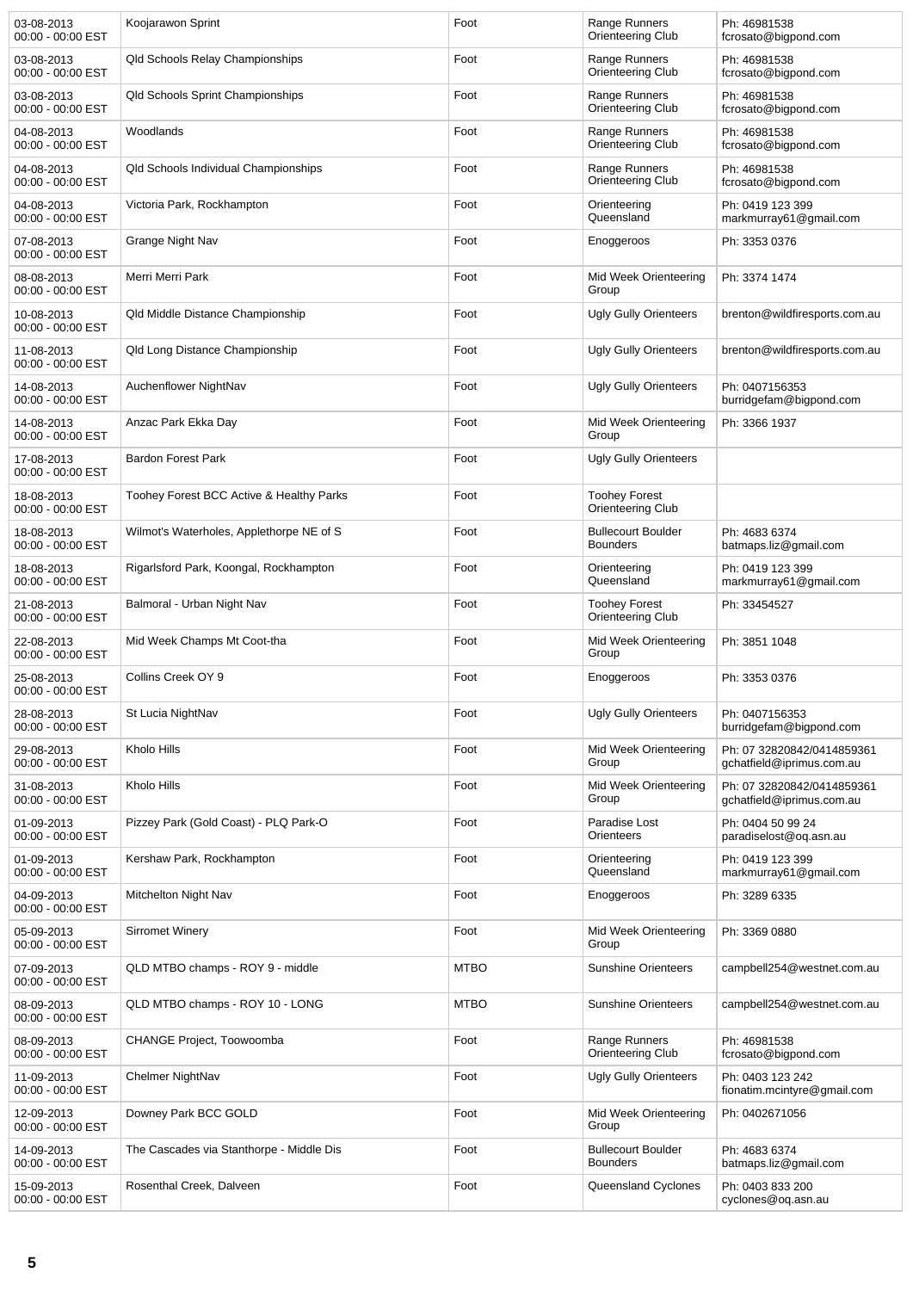| 03-08-2013<br>00:00 - 00:00 EST | Koojarawon Sprint                           | Foot        | Range Runners<br>Orienteering Club           | Ph: 46981538<br>fcrosato@bigpond.com                    |
|---------------------------------|---------------------------------------------|-------------|----------------------------------------------|---------------------------------------------------------|
| 03-08-2013<br>00:00 - 00:00 EST | Qld Schools Relay Championships             | Foot        | Range Runners<br>Orienteering Club           | Ph: 46981538<br>fcrosato@bigpond.com                    |
| 03-08-2013<br>00:00 - 00:00 EST | <b>Qld Schools Sprint Championships</b>     | Foot        | Range Runners<br>Orienteering Club           | Ph: 46981538<br>fcrosato@bigpond.com                    |
| 04-08-2013<br>00:00 - 00:00 EST | Woodlands                                   | Foot        | Range Runners<br>Orienteering Club           | Ph: 46981538<br>fcrosato@bigpond.com                    |
| 04-08-2013<br>00:00 - 00:00 EST | <b>Qld Schools Individual Championships</b> | Foot        | Range Runners<br>Orienteering Club           | Ph: 46981538<br>fcrosato@bigpond.com                    |
| 04-08-2013<br>00:00 - 00:00 EST | Victoria Park, Rockhampton                  | Foot        | Orienteering<br>Queensland                   | Ph: 0419 123 399<br>markmurray61@gmail.com              |
| 07-08-2013<br>00:00 - 00:00 EST | Grange Night Nav                            | Foot        | Enoggeroos                                   | Ph: 3353 0376                                           |
| 08-08-2013<br>00:00 - 00:00 EST | Merri Merri Park                            | Foot        | Mid Week Orienteering<br>Group               | Ph: 3374 1474                                           |
| 10-08-2013<br>00:00 - 00:00 EST | Qld Middle Distance Championship            | Foot        | <b>Ugly Gully Orienteers</b>                 | brenton@wildfiresports.com.au                           |
| 11-08-2013<br>00:00 - 00:00 EST | Qld Long Distance Championship              | Foot        | Ugly Gully Orienteers                        | brenton@wildfiresports.com.au                           |
| 14-08-2013<br>00:00 - 00:00 EST | Auchenflower NightNav                       | Foot        | <b>Ugly Gully Orienteers</b>                 | Ph: 0407156353<br>burridgefam@bigpond.com               |
| 14-08-2013<br>00:00 - 00:00 EST | Anzac Park Ekka Day                         | Foot        | Mid Week Orienteering<br>Group               | Ph: 3366 1937                                           |
| 17-08-2013<br>00:00 - 00:00 EST | <b>Bardon Forest Park</b>                   | Foot        | <b>Ugly Gully Orienteers</b>                 |                                                         |
| 18-08-2013<br>00:00 - 00:00 EST | Toohey Forest BCC Active & Healthy Parks    | Foot        | <b>Toohey Forest</b><br>Orienteering Club    |                                                         |
| 18-08-2013<br>00:00 - 00:00 EST | Wilmot's Waterholes, Applethorpe NE of S    | Foot        | <b>Bullecourt Boulder</b><br><b>Bounders</b> | Ph: 4683 6374<br>batmaps.liz@gmail.com                  |
| 18-08-2013<br>00:00 - 00:00 EST | Rigarlsford Park, Koongal, Rockhampton      | Foot        | Orienteering<br>Queensland                   | Ph: 0419 123 399<br>markmurray61@gmail.com              |
| 21-08-2013<br>00:00 - 00:00 EST | Balmoral - Urban Night Nav                  | Foot        | <b>Toohey Forest</b><br>Orienteering Club    | Ph: 33454527                                            |
| 22-08-2013<br>00:00 - 00:00 EST | Mid Week Champs Mt Coot-tha                 | Foot        | Mid Week Orienteering<br>Group               | Ph: 3851 1048                                           |
| 25-08-2013<br>00:00 - 00:00 EST | Collins Creek OY 9                          | Foot        | Enoggeroos                                   | Ph: 3353 0376                                           |
| 28-08-2013<br>00:00 - 00:00 EST | St Lucia NightNav                           | Foot        | <b>Ugly Gully Orienteers</b>                 | Ph: 0407156353<br>burridgefam@bigpond.com               |
| 29-08-2013<br>00:00 - 00:00 EST | Kholo Hills                                 | Foot        | Mid Week Orienteering<br>Group               | Ph: 07 32820842/0414859361<br>gchatfield@iprimus.com.au |
| 31-08-2013<br>00:00 - 00:00 EST | Kholo Hills                                 | Foot        | Mid Week Orienteering<br>Group               | Ph: 07 32820842/0414859361<br>gchatfield@iprimus.com.au |
| 01-09-2013<br>00:00 - 00:00 EST | Pizzey Park (Gold Coast) - PLQ Park-O       | Foot        | Paradise Lost<br>Orienteers                  | Ph: 0404 50 99 24<br>paradiselost@oq.asn.au             |
| 01-09-2013<br>00:00 - 00:00 EST | Kershaw Park, Rockhampton                   | Foot        | Orienteering<br>Queensland                   | Ph: 0419 123 399<br>markmurray61@gmail.com              |
| 04-09-2013<br>00:00 - 00:00 EST | Mitchelton Night Nav                        | Foot        | Enoggeroos                                   | Ph: 3289 6335                                           |
| 05-09-2013<br>00:00 - 00:00 EST | <b>Sirromet Winery</b>                      | Foot        | Mid Week Orienteering<br>Group               | Ph: 3369 0880                                           |
| 07-09-2013<br>00:00 - 00:00 EST | QLD MTBO champs - ROY 9 - middle            | <b>MTBO</b> | <b>Sunshine Orienteers</b>                   | campbell254@westnet.com.au                              |
| 08-09-2013<br>00:00 - 00:00 EST | QLD MTBO champs - ROY 10 - LONG             | <b>MTBO</b> | <b>Sunshine Orienteers</b>                   | campbell254@westnet.com.au                              |
| 08-09-2013<br>00:00 - 00:00 EST | <b>CHANGE Project, Toowoomba</b>            | Foot        | Range Runners<br>Orienteering Club           | Ph: 46981538<br>fcrosato@bigpond.com                    |
| 11-09-2013<br>00:00 - 00:00 EST | Chelmer NightNav                            | Foot        | <b>Ugly Gully Orienteers</b>                 | Ph: 0403 123 242<br>fionatim.mcintyre@gmail.com         |
| 12-09-2013<br>00:00 - 00:00 EST | Downey Park BCC GOLD                        | Foot        | Mid Week Orienteering<br>Group               | Ph: 0402671056                                          |
| 14-09-2013<br>00:00 - 00:00 EST | The Cascades via Stanthorpe - Middle Dis    | Foot        | <b>Bullecourt Boulder</b><br><b>Bounders</b> | Ph: 4683 6374<br>batmaps.liz@gmail.com                  |
| 15-09-2013<br>00:00 - 00:00 EST | Rosenthal Creek, Dalveen                    | Foot        | Queensland Cyclones                          | Ph: 0403 833 200<br>cyclones@oq.asn.au                  |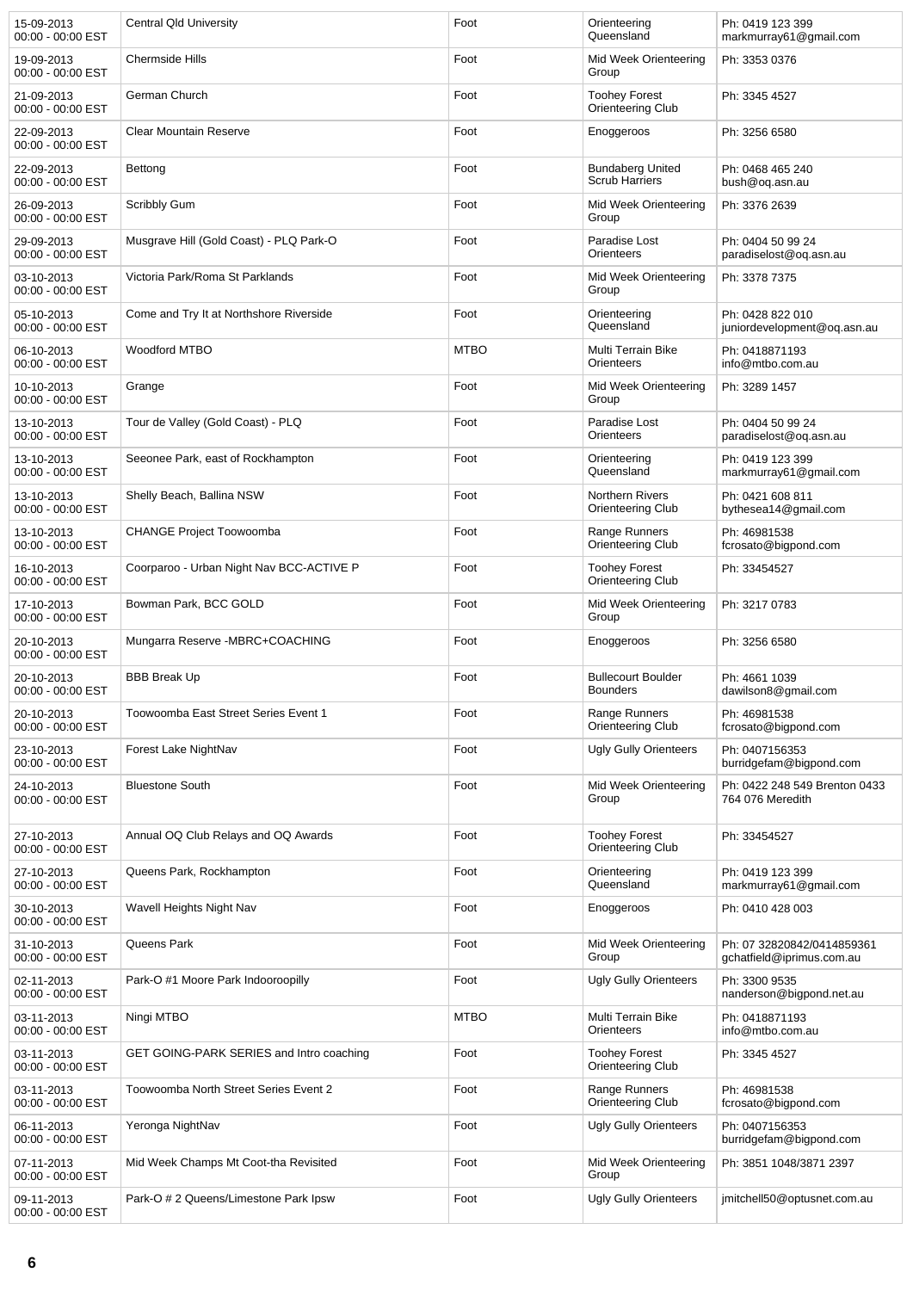| 15-09-2013<br>00:00 - 00:00 EST | Central Qld University                   | Foot        | Orienteering<br>Queensland                       | Ph: 0419 123 399<br>markmurray61@gmail.com              |
|---------------------------------|------------------------------------------|-------------|--------------------------------------------------|---------------------------------------------------------|
| 19-09-2013<br>00:00 - 00:00 EST | <b>Chermside Hills</b>                   | Foot        | Mid Week Orienteering<br>Group                   | Ph: 3353 0376                                           |
| 21-09-2013<br>00:00 - 00:00 EST | German Church                            | Foot        | <b>Toohey Forest</b><br>Orienteering Club        | Ph: 3345 4527                                           |
| 22-09-2013<br>00:00 - 00:00 EST | <b>Clear Mountain Reserve</b>            | Foot        | Enoggeroos                                       | Ph: 3256 6580                                           |
| 22-09-2013<br>00:00 - 00:00 EST | Bettong                                  | Foot        | <b>Bundaberg United</b><br><b>Scrub Harriers</b> | Ph: 0468 465 240<br>bush@oq.asn.au                      |
| 26-09-2013<br>00:00 - 00:00 EST | Scribbly Gum                             | Foot        | Mid Week Orienteering<br>Group                   | Ph: 3376 2639                                           |
| 29-09-2013<br>00:00 - 00:00 EST | Musgrave Hill (Gold Coast) - PLQ Park-O  | Foot        | Paradise Lost<br>Orienteers                      | Ph: 0404 50 99 24<br>paradiselost@oq.asn.au             |
| 03-10-2013<br>00:00 - 00:00 EST | Victoria Park/Roma St Parklands          | Foot        | Mid Week Orienteering<br>Group                   | Ph: 3378 7375                                           |
| 05-10-2013<br>00:00 - 00:00 EST | Come and Try It at Northshore Riverside  | Foot        | Orienteering<br>Queensland                       | Ph: 0428 822 010<br>juniordevelopment@oq.asn.au         |
| 06-10-2013<br>00:00 - 00:00 EST | Woodford MTBO                            | <b>MTBO</b> | Multi Terrain Bike<br>Orienteers                 | Ph: 0418871193<br>info@mtbo.com.au                      |
| 10-10-2013<br>00:00 - 00:00 EST | Grange                                   | Foot        | Mid Week Orienteering<br>Group                   | Ph: 3289 1457                                           |
| 13-10-2013<br>00:00 - 00:00 EST | Tour de Valley (Gold Coast) - PLQ        | Foot        | Paradise Lost<br>Orienteers                      | Ph: 0404 50 99 24<br>paradiselost@oq.asn.au             |
| 13-10-2013<br>00:00 - 00:00 EST | Seeonee Park, east of Rockhampton        | Foot        | Orienteering<br>Queensland                       | Ph: 0419 123 399<br>markmurray61@gmail.com              |
| 13-10-2013<br>00:00 - 00:00 EST | Shelly Beach, Ballina NSW                | Foot        | <b>Northern Rivers</b><br>Orienteering Club      | Ph: 0421 608 811<br>bythesea14@gmail.com                |
| 13-10-2013<br>00:00 - 00:00 EST | <b>CHANGE Project Toowoomba</b>          | Foot        | Range Runners<br>Orienteering Club               | Ph: 46981538<br>fcrosato@bigpond.com                    |
| 16-10-2013<br>00:00 - 00:00 EST | Coorparoo - Urban Night Nav BCC-ACTIVE P | Foot        | <b>Toohey Forest</b><br>Orienteering Club        | Ph: 33454527                                            |
| 17-10-2013<br>00:00 - 00:00 EST | Bowman Park, BCC GOLD                    | Foot        | Mid Week Orienteering<br>Group                   | Ph: 3217 0783                                           |
| 20-10-2013<br>00:00 - 00:00 EST | Mungarra Reserve -MBRC+COACHING          | Foot        | Enoggeroos                                       | Ph: 3256 6580                                           |
| 20-10-2013<br>00:00 - 00:00 EST | <b>BBB Break Up</b>                      | Foot        | <b>Bullecourt Boulder</b><br><b>Bounders</b>     | Ph: 4661 1039<br>dawilson8@gmail.com                    |
| 20-10-2013<br>00:00 - 00:00 EST | Toowoomba East Street Series Event 1     | Foot        | Range Runners<br>Orienteering Club               | Ph: 46981538<br>fcrosato@bigpond.com                    |
| 23-10-2013<br>00:00 - 00:00 EST | Forest Lake NightNav                     | Foot        | <b>Ugly Gully Orienteers</b>                     | Ph: 0407156353<br>burridgefam@bigpond.com               |
| 24-10-2013<br>00:00 - 00:00 EST | <b>Bluestone South</b>                   | Foot        | Mid Week Orienteering<br>Group                   | Ph: 0422 248 549 Brenton 0433<br>764 076 Meredith       |
| 27-10-2013<br>00:00 - 00:00 EST | Annual OQ Club Relays and OQ Awards      | Foot        | <b>Toohey Forest</b><br>Orienteering Club        | Ph: 33454527                                            |
| 27-10-2013<br>00:00 - 00:00 EST | Queens Park, Rockhampton                 | Foot        | Orienteering<br>Queensland                       | Ph: 0419 123 399<br>markmurray61@gmail.com              |
| 30-10-2013<br>00:00 - 00:00 EST | Wavell Heights Night Nav                 | Foot        | Enoggeroos                                       | Ph: 0410 428 003                                        |
| 31-10-2013<br>00:00 - 00:00 EST | Queens Park                              | Foot        | Mid Week Orienteering<br>Group                   | Ph: 07 32820842/0414859361<br>gchatfield@iprimus.com.au |
| 02-11-2013<br>00:00 - 00:00 EST | Park-O #1 Moore Park Indooroopilly       | Foot        | <b>Ugly Gully Orienteers</b>                     | Ph: 3300 9535<br>nanderson@bigpond.net.au               |
| 03-11-2013<br>00:00 - 00:00 EST | Ningi MTBO                               | <b>MTBO</b> | Multi Terrain Bike<br>Orienteers                 | Ph: 0418871193<br>info@mtbo.com.au                      |
| 03-11-2013<br>00:00 - 00:00 EST | GET GOING-PARK SERIES and Intro coaching | Foot        | <b>Toohey Forest</b><br>Orienteering Club        | Ph: 3345 4527                                           |
| 03-11-2013<br>00:00 - 00:00 EST | Toowoomba North Street Series Event 2    | Foot        | Range Runners<br>Orienteering Club               | Ph: 46981538<br>fcrosato@bigpond.com                    |
| 06-11-2013<br>00:00 - 00:00 EST | Yeronga NightNav                         | Foot        | <b>Ugly Gully Orienteers</b>                     | Ph: 0407156353<br>burridgefam@bigpond.com               |
| 07-11-2013<br>00:00 - 00:00 EST | Mid Week Champs Mt Coot-tha Revisited    | Foot        | Mid Week Orienteering<br>Group                   | Ph: 3851 1048/3871 2397                                 |
| 09-11-2013<br>00:00 - 00:00 EST | Park-O # 2 Queens/Limestone Park Ipsw    | Foot        | <b>Ugly Gully Orienteers</b>                     | jmitchell50@optusnet.com.au                             |